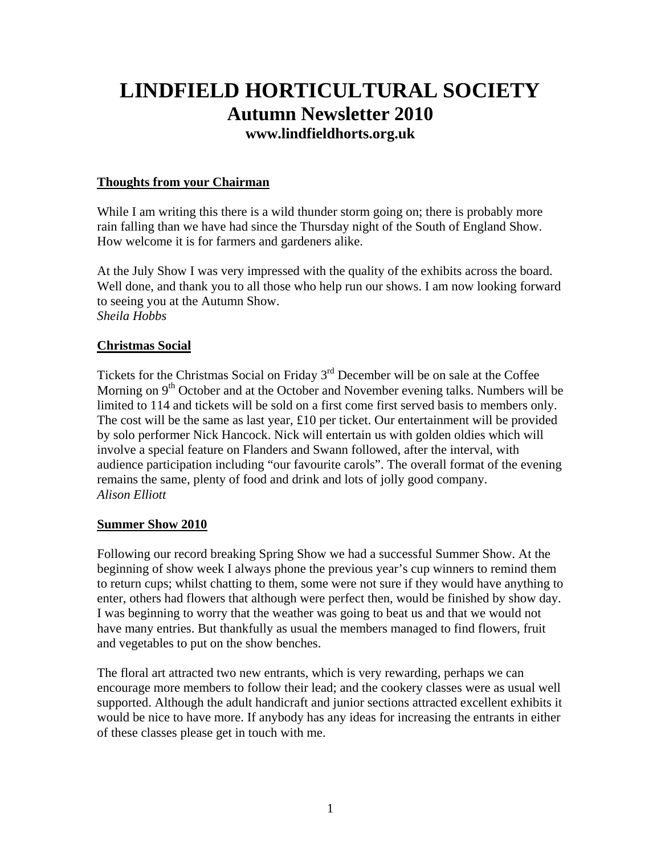# **LINDFIELD HORTICULTURAL SOCIETY Autumn Newsletter 2010 [www.lindfieldhorts.org.uk](http://www.lindfieldhorts.org.uk/)**

## **Thoughts from your Chairman**

While I am writing this there is a wild thunder storm going on; there is probably more rain falling than we have had since the Thursday night of the South of England Show. How welcome it is for farmers and gardeners alike.

At the July Show I was very impressed with the quality of the exhibits across the board. Well done, and thank you to all those who help run our shows. I am now looking forward to seeing you at the Autumn Show. *Sheila Hobbs*

#### **Christmas Social**

Tickets for the Christmas Social on Friday  $3<sup>rd</sup>$  December will be on sale at the Coffee Morning on  $9<sup>th</sup>$  October and at the October and November evening talks. Numbers will be limited to 114 and tickets will be sold on a first come first served basis to members only. The cost will be the same as last year, £10 per ticket. Our entertainment will be provided by solo performer Nick Hancock. Nick will entertain us with golden oldies which will involve a special feature on Flanders and Swann followed, after the interval, with audience participation including "our favourite carols". The overall format of the evening remains the same, plenty of food and drink and lots of jolly good company. *Alison Elliott* 

#### **Summer Show 2010**

Following our record breaking Spring Show we had a successful Summer Show. At the beginning of show week I always phone the previous year's cup winners to remind them to return cups; whilst chatting to them, some were not sure if they would have anything to enter, others had flowers that although were perfect then, would be finished by show day. I was beginning to worry that the weather was going to beat us and that we would not have many entries. But thankfully as usual the members managed to find flowers, fruit and vegetables to put on the show benches.

The floral art attracted two new entrants, which is very rewarding, perhaps we can encourage more members to follow their lead; and the cookery classes were as usual well supported. Although the adult handicraft and junior sections attracted excellent exhibits it would be nice to have more. If anybody has any ideas for increasing the entrants in either of these classes please get in touch with me.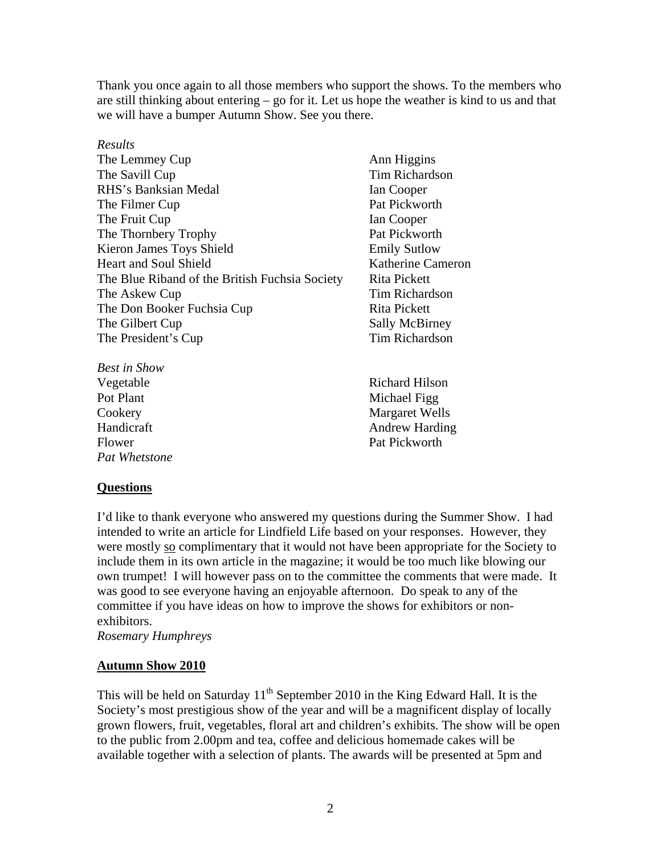Thank you once again to all those members who support the shows. To the members who are still thinking about entering – go for it. Let us hope the weather is kind to us and that we will have a bumper Autumn Show. See you there.

#### *Results*

| The Lemmey Cup                                 |
|------------------------------------------------|
| The Savill Cup                                 |
| RHS's Banksian Medal                           |
| The Filmer Cup                                 |
| The Fruit Cup                                  |
| The Thornbery Trophy                           |
| Kieron James Toys Shield                       |
| <b>Heart and Soul Shield</b>                   |
| The Blue Riband of the British Fuchsia Society |
| The Askew Cup                                  |
| The Don Booker Fuchsia Cup                     |
| The Gilbert Cup                                |
| The President's Cup                            |

*Best in Show* Vegetable Richard Hilson Pot Plant Michael Figg Flower Pat Pickworth *Pat Whetstone* 

Ann Higgins Tim Richardson Ian Cooper Pat Pickworth **Ian Cooper** Pat Pickworth Emily Sutlow Katherine Cameron Rita Pickett Tim Richardson Rita Pickett Sally McBirney Tim Richardson

Cookery Margaret Wells Handicraft Andrew Harding

#### **Questions**

I'd like to thank everyone who answered my questions during the Summer Show. I had intended to write an article for Lindfield Life based on your responses. However, they were mostly so complimentary that it would not have been appropriate for the Society to include them in its own article in the magazine; it would be too much like blowing our own trumpet! I will however pass on to the committee the comments that were made. It was good to see everyone having an enjoyable afternoon. Do speak to any of the committee if you have ideas on how to improve the shows for exhibitors or nonexhibitors.

*Rosemary Humphreys* 

#### **Autumn Show 2010**

This will be held on Saturday  $11<sup>th</sup>$  September 2010 in the King Edward Hall. It is the Society's most prestigious show of the year and will be a magnificent display of locally grown flowers, fruit, vegetables, floral art and children's exhibits. The show will be open to the public from 2.00pm and tea, coffee and delicious homemade cakes will be available together with a selection of plants. The awards will be presented at 5pm and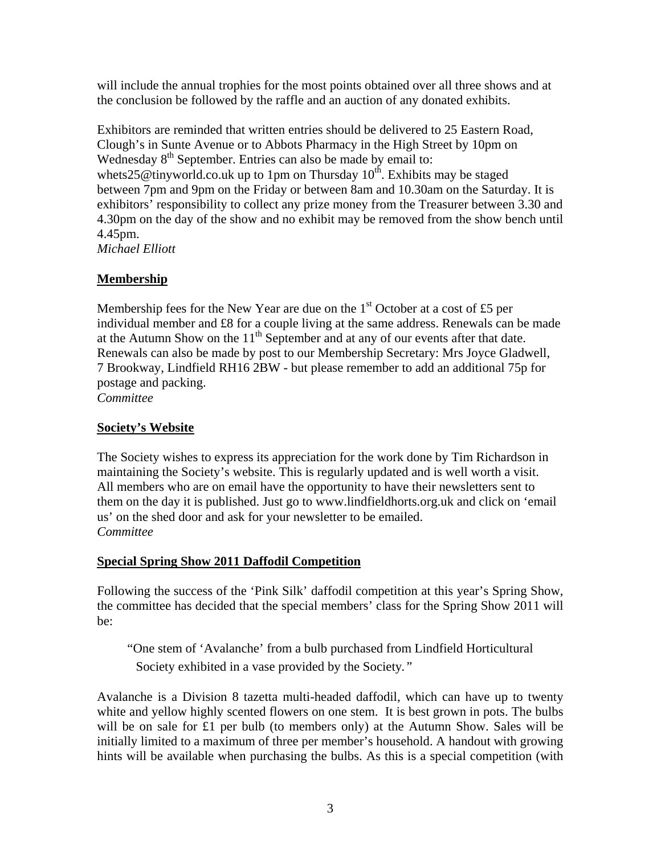will include the annual trophies for the most points obtained over all three shows and at the conclusion be followed by the raffle and an auction of any donated exhibits.

Exhibitors are reminded that written entries should be delivered to 25 Eastern Road, Clough's in Sunte Avenue or to Abbots Pharmacy in the High Street by 10pm on Wednesday 8<sup>th</sup> September. Entries can also be made by email to: [whets25@tinyworld.co.uk](mailto:whets25@tinyworld.co.uk) up to 1pm on Thursday  $10^{th}$ . Exhibits may be staged between 7pm and 9pm on the Friday or between 8am and 10.30am on the Saturday. It is exhibitors' responsibility to collect any prize money from the Treasurer between 3.30 and 4.30pm on the day of the show and no exhibit may be removed from the show bench until 4.45pm. *Michael Elliott* 

## **Membership**

Membership fees for the New Year are due on the  $1<sup>st</sup>$  October at a cost of £5 per individual member and £8 for a couple living at the same address. Renewals can be made at the Autumn Show on the  $11<sup>th</sup>$  September and at any of our events after that date. Renewals can also be made by post to our Membership Secretary: Mrs Joyce Gladwell, 7 Brookway, Lindfield RH16 2BW - but please remember to add an additional 75p for postage and packing.

*Committee* 

## **Society's Website**

The Society wishes to express its appreciation for the work done by Tim Richardson in maintaining the Society's website. This is regularly updated and is well worth a visit. All members who are on email have the opportunity to have their newsletters sent to them on the day it is published. Just go to www.lindfieldhorts.org.uk and click on 'email us' on the shed door and ask for your newsletter to be emailed. *Committee* 

## **Special Spring Show 2011 Daffodil Competition**

Following the success of the 'Pink Silk' daffodil competition at this year's Spring Show, the committee has decided that the special members' class for the Spring Show 2011 will be:

"One stem of 'Avalanche' from a bulb purchased from Lindfield Horticultural Society exhibited in a vase provided by the Society*."* 

Avalanche is a Division 8 tazetta multi-headed daffodil, which can have up to twenty white and yellow highly scented flowers on one stem. It is best grown in pots. The bulbs will be on sale for £1 per bulb (to members only) at the Autumn Show. Sales will be initially limited to a maximum of three per member's household. A handout with growing hints will be available when purchasing the bulbs. As this is a special competition (with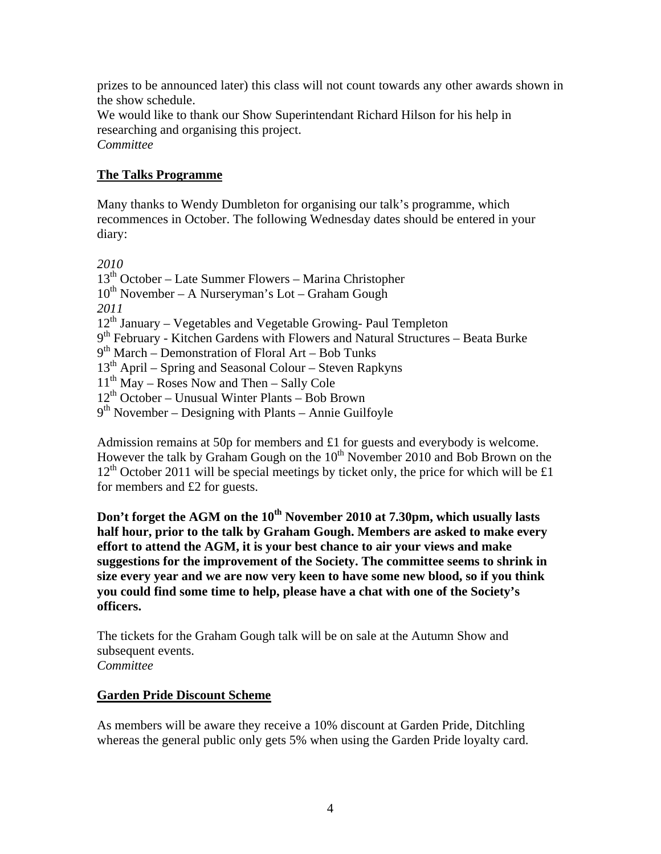prizes to be announced later) this class will not count towards any other awards shown in the show schedule.

We would like to thank our Show Superintendant Richard Hilson for his help in researching and organising this project. *Committee* 

## **The Talks Programme**

Many thanks to Wendy Dumbleton for organising our talk's programme, which recommences in October. The following Wednesday dates should be entered in your diary:

*2010* 

13th October – Late Summer Flowers – Marina Christopher  $10^{th}$  November – A Nurseryman's Lot – Graham Gough *2011*   $12<sup>th</sup>$  January – Vegetables and Vegetable Growing-Paul Templeton  $9<sup>th</sup>$  February - Kitchen Gardens with Flowers and Natural Structures – Beata Burke  $9<sup>th</sup> March – Demonstration of Floral Art – Bob Tunks$  $13<sup>th</sup>$  April – Spring and Seasonal Colour – Steven Rapkyns  $11<sup>th</sup>$  May – Roses Now and Then – Sally Cole  $12<sup>th</sup> October – Unusual Winter Plants – Bob Brown$  $9<sup>th</sup>$  November – Designing with Plants – Annie Guilfoyle

Admission remains at 50p for members and £1 for guests and everybody is welcome. However the talk by Graham Gough on the  $10<sup>th</sup>$  November 2010 and Bob Brown on the  $12<sup>th</sup>$  October 2011 will be special meetings by ticket only, the price for which will be £1 for members and £2 for guests.

**Don't forget the AGM on the 10<sup>th</sup> November 2010 at 7.30pm, which usually lasts half hour, prior to the talk by Graham Gough. Members are asked to make every effort to attend the AGM, it is your best chance to air your views and make suggestions for the improvement of the Society. The committee seems to shrink in size every year and we are now very keen to have some new blood, so if you think you could find some time to help, please have a chat with one of the Society's officers.** 

The tickets for the Graham Gough talk will be on sale at the Autumn Show and subsequent events. *Committee* 

#### **Garden Pride Discount Scheme**

As members will be aware they receive a 10% discount at Garden Pride, Ditchling whereas the general public only gets 5% when using the Garden Pride loyalty card.